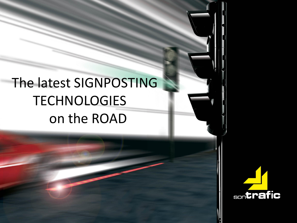# The latest SIGNPOSTING **TECHNOLOGIES** on the ROAD

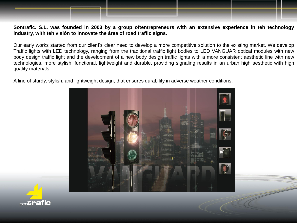### Sontrafic. S.L. was founded in 2003 by a group oftentrepreneurs with an extensive experience in teh technology **industry, with teh visión to innovate the área of road traffic signs.**

Our early works started from our client's clear need to develop a more competitive solution to the existing market. We develop Traffic lights with LED technology, ranging from the traditional traffic light bodies to LED VANGUAR optical modules with new body design traffic light and the development of a new body design traffic lights with a more consistent aesthetic line with new technologies, more stylish, functional, lightweight and durable, providing signaling results in an urban high aesthetic with high quality materials.

A line of sturdy, stylish, and lightweight design, that ensures durability in adverse weather conditions.



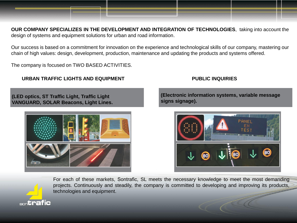**OUR COMPANY SPECIALIZES IN THE DEVELOPMENT AND INTEGRATION OF TECHNOLOGIES**, taking into account the design of systems and equipment solutions for urban and road information.

Our success is based on a commitment for innovation on the experience and technological skills of our company, mastering our chain of high values: design, development, production, maintenance and updating the products and systems offered.

The company is focused on TWO BASED ACTIVITIES.

### **URBAN TRAFFIC LIGHTS AND EQUIPMENT PUBLIC INQUIRIES**

**(LED optics, ST Traffic Light, Traffic Light VANGUARD, SOLAR Beacons, Light Lines.**



**(Electronic information systems, variable message signs signage).**



For each of these markets, Sontrafic, SL meets the necessary knowledge to meet the most demanding projects. Continuously and steadily, the company is committed to developing and improving its products, technologies and equipment.

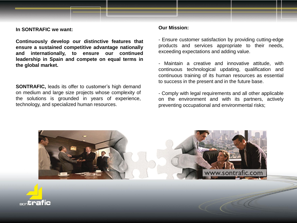**In SONTRAFIC we want:**

**Continuously develop our distinctive features that ensure a sustained competitive advantage nationally and internationally, to ensure our continued leadership in Spain and compete on equal terms in the global market.**

**SONTRAFIC,** leads its offer to customer's high demand on medium and large size projects whose complexity of the solutions is grounded in years of experience, technology, and specialized human resources.

### **Our Mission:**

- Ensure customer satisfaction by providing cutting-edge products and services appropriate to their needs, exceeding expectations and adding value.

- Maintain a creative and innovative attitude, with continuous technological updating, qualification and continuous training of its human resources as essential to success in the present and in the future base.

- Comply with legal requirements and all other applicable on the environment and with its partners, actively preventing occupational and environmental risks;



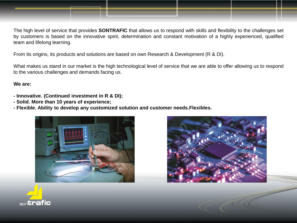

The high level of service that provides **SONTRAFIC** that allows us to respond with skills and flexibility to the challenges set by customers is based on the innovative spirit, determination and constant motivation of a highly experienced, qualified team and lifelong learning.

From its origins, its products and solutions are based on own Research & Development (R & DI).

What makes us stand in our market is the high technological level of service that we are able to offer allowing us to respond to the various challenges and demands facing us.

### **We are:**

- **- Innovative. (Continued investment in R & DI);**
- **- Solid. More than 10 years of experience;**
- **- Flexible. Ability to develop any customized solution and customer needs.Flexibles.**





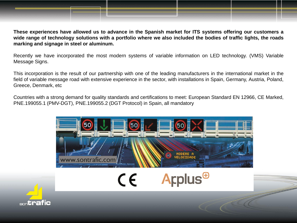

Recently we have incorporated the most modern systems of variable information on LED technology. (VMS) Variable Message Signs.

This incorporation is the result of our partnership with one of the leading manufacturers in the international market in the field of variable message road with extensive experience in the sector, with installations in Spain, Germany, Austria, Poland, Greece, Denmark, etc

Countries with a strong demand for quality standards and certifications to meet: European Standard EN 12966, CE Marked, PNE.199055.1 (PMV-DGT), PNE.199055.2 (DGT Protocol) in Spain, all mandatory